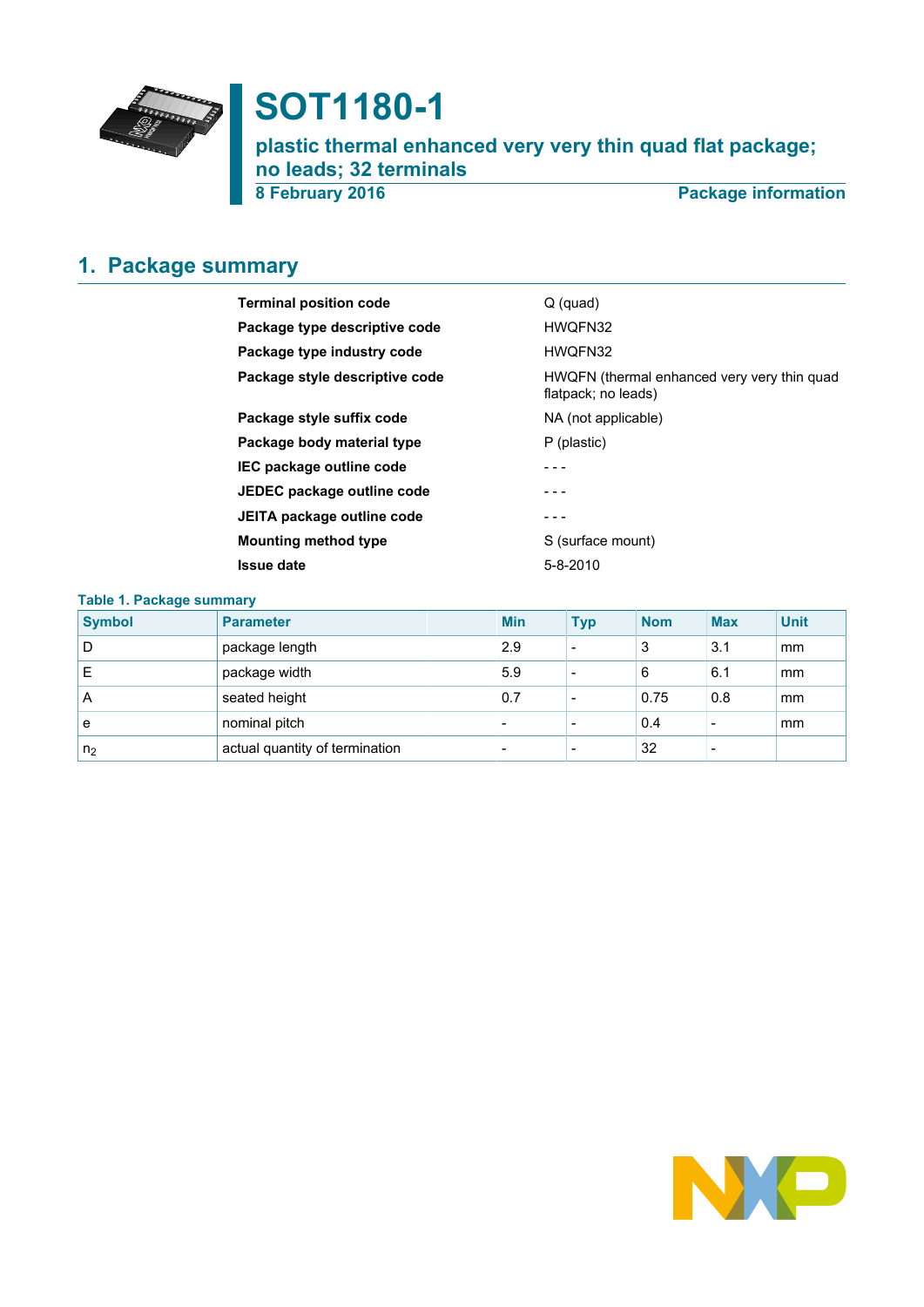

# **SOT1180-1**

**plastic thermal enhanced very very thin quad flat package; no leads; 32 terminals**

**8 February 2016 Package information**

# <span id="page-0-0"></span>**1. Package summary**

| <b>Terminal position code</b>  | $Q$ (quad)                                                         |
|--------------------------------|--------------------------------------------------------------------|
| Package type descriptive code  | HWQFN32                                                            |
| Package type industry code     | HWQFN32                                                            |
| Package style descriptive code | HWQFN (thermal enhanced very very thin quad<br>flatpack; no leads) |
| Package style suffix code      | NA (not applicable)                                                |
| Package body material type     | P (plastic)                                                        |
| IEC package outline code       |                                                                    |
| JEDEC package outline code     |                                                                    |
| JEITA package outline code     |                                                                    |
| <b>Mounting method type</b>    | S (surface mount)                                                  |
| <b>Issue date</b>              | $5 - 8 - 2010$                                                     |

| Table 1. Package summary |                                |  |                          |            |            |            |             |  |  |  |
|--------------------------|--------------------------------|--|--------------------------|------------|------------|------------|-------------|--|--|--|
| <b>Symbol</b>            | <b>Parameter</b>               |  | <b>Min</b>               | <b>Typ</b> | <b>Nom</b> | <b>Max</b> | <b>Unit</b> |  |  |  |
| D                        | package length                 |  | 2.9                      |            | 3          | 3.1        | mm          |  |  |  |
| Е                        | package width                  |  | 5.9                      | -          | 6          | 6.1        | mm          |  |  |  |
| A                        | seated height                  |  | 0.7                      |            | 0.75       | 0.8        | mm          |  |  |  |
| e                        | nominal pitch                  |  | $\overline{\phantom{0}}$ |            | 0.4        |            | mm          |  |  |  |
| n <sub>2</sub>           | actual quantity of termination |  |                          |            | 32         |            |             |  |  |  |

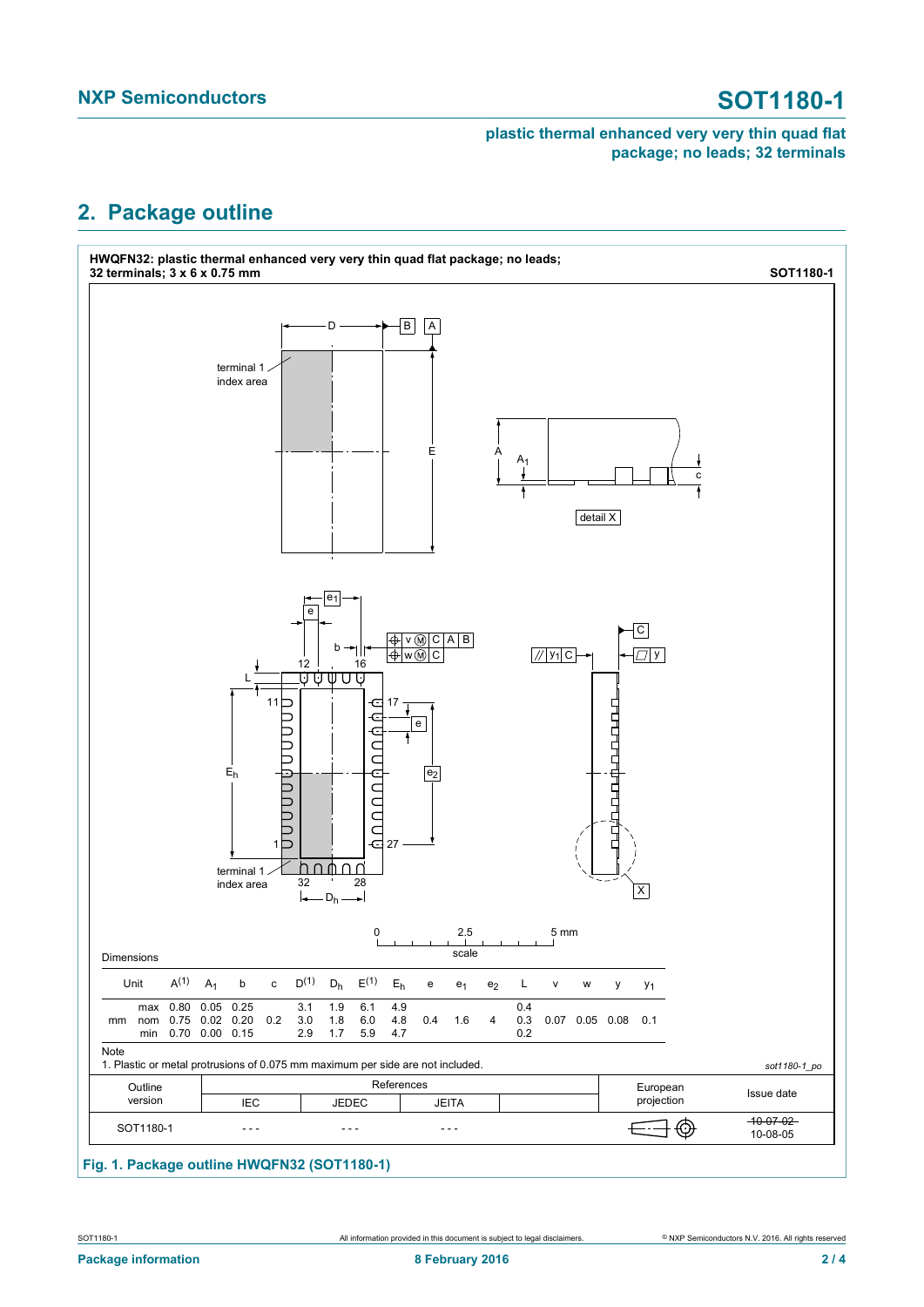### **plastic thermal enhanced very very thin quad flat package; no leads; 32 terminals**

## <span id="page-1-0"></span>**2. Package outline**



### **Fig. 1. Package outline HWQFN32 (SOT1180-1)**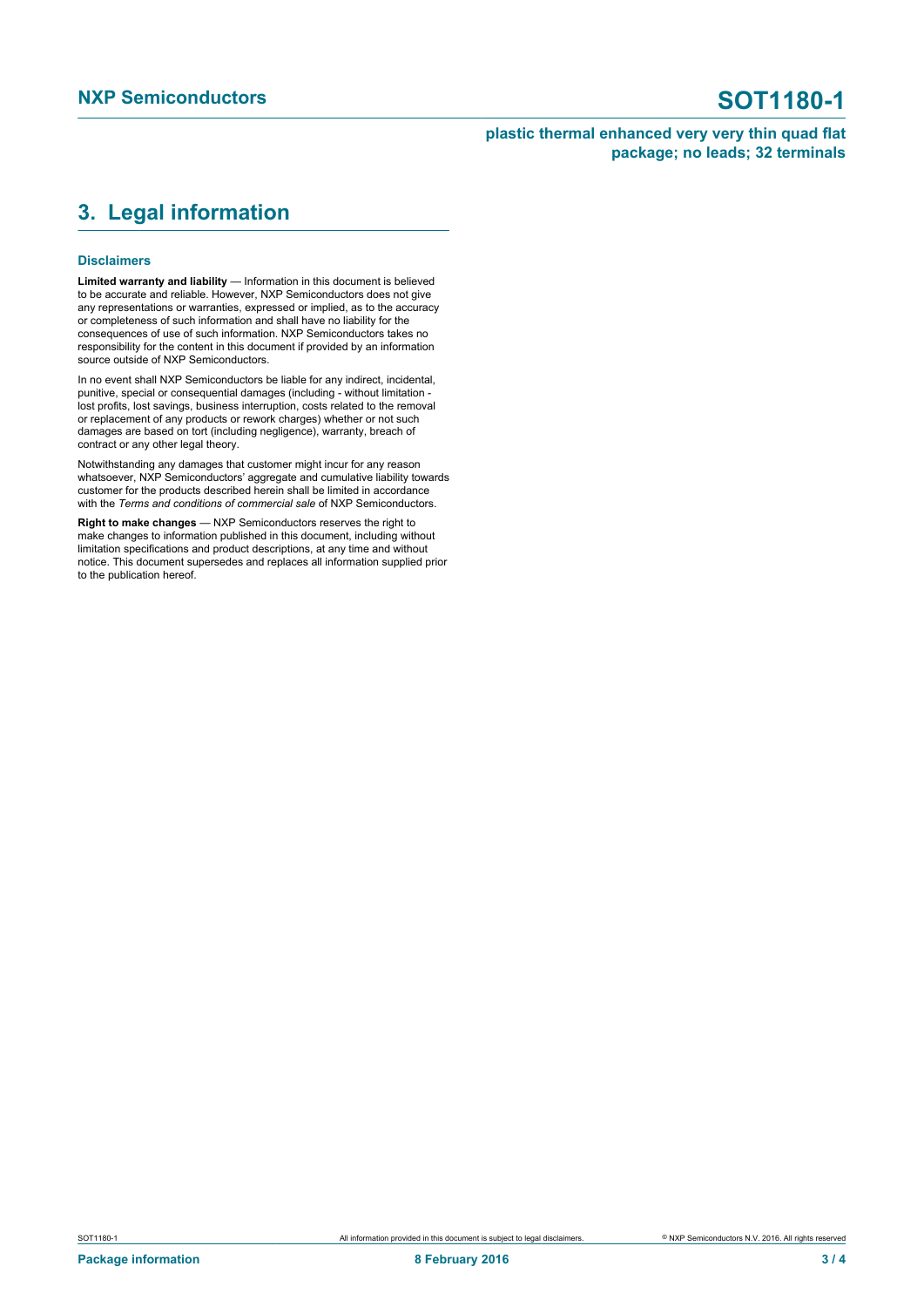#### **plastic thermal enhanced very very thin quad flat package; no leads; 32 terminals**

# <span id="page-2-0"></span>**3. Legal information**

#### **Disclaimers**

**Limited warranty and liability** — Information in this document is believed to be accurate and reliable. However, NXP Semiconductors does not give any representations or warranties, expressed or implied, as to the accuracy or completeness of such information and shall have no liability for the consequences of use of such information. NXP Semiconductors takes no responsibility for the content in this document if provided by an information source outside of NXP Semiconductors.

In no event shall NXP Semiconductors be liable for any indirect, incidental, punitive, special or consequential damages (including - without limitation lost profits, lost savings, business interruption, costs related to the removal or replacement of any products or rework charges) whether or not such damages are based on tort (including negligence), warranty, breach of contract or any other legal theory.

Notwithstanding any damages that customer might incur for any reason whatsoever, NXP Semiconductors' aggregate and cumulative liability towards customer for the products described herein shall be limited in accordance with the *Terms and conditions of commercial sale* of NXP Semiconductors.

**Right to make changes** — NXP Semiconductors reserves the right to make changes to information published in this document, including without limitation specifications and product descriptions, at any time and without notice. This document supersedes and replaces all information supplied prior to the publication hereof.